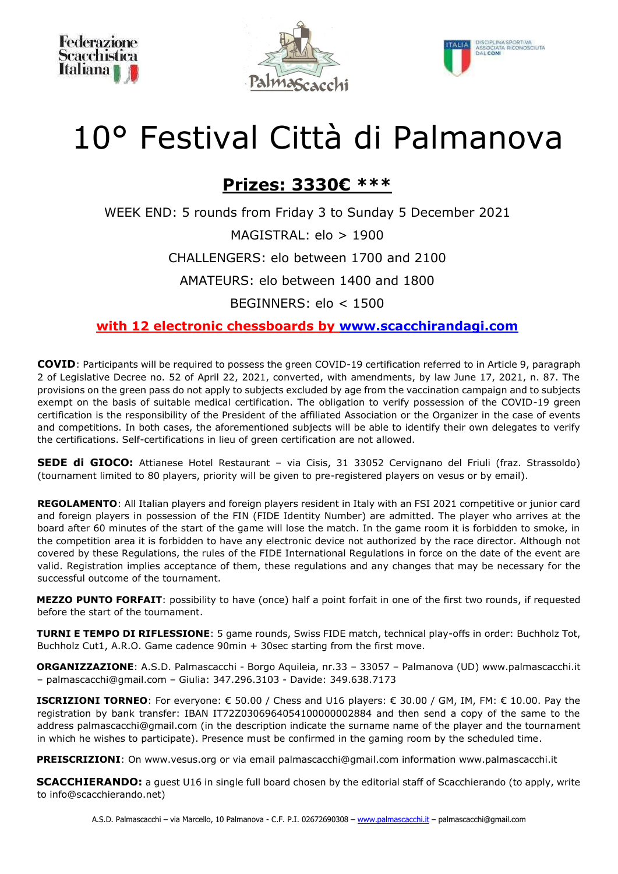





# 10° Festival Città di Palmanova

# **Prizes: 3330€ \*\*\***

WEEK END: 5 rounds from Friday 3 to Sunday 5 December 2021

MAGISTRAL: elo > 1900

CHALLENGERS: elo between 1700 and 2100

AMATEURS: elo between 1400 and 1800

BEGINNERS: elo < 1500

**with 12 electronic chessboards by www.scacchirandagi.com**

**COVID**: Participants will be required to possess the green COVID-19 certification referred to in Article 9, paragraph 2 of Legislative Decree no. 52 of April 22, 2021, converted, with amendments, by law June 17, 2021, n. 87. The provisions on the green pass do not apply to subjects excluded by age from the vaccination campaign and to subjects exempt on the basis of suitable medical certification. The obligation to verify possession of the COVID-19 green certification is the responsibility of the President of the affiliated Association or the Organizer in the case of events and competitions. In both cases, the aforementioned subjects will be able to identify their own delegates to verify the certifications. Self-certifications in lieu of green certification are not allowed.

**SEDE di GIOCO:** Attianese Hotel Restaurant – via Cisis, 31 33052 Cervignano del Friuli (fraz. Strassoldo) (tournament limited to 80 players, priority will be given to pre-registered players on vesus or by email).

**REGOLAMENTO**: All Italian players and foreign players resident in Italy with an FSI 2021 competitive or junior card and foreign players in possession of the FIN (FIDE Identity Number) are admitted. The player who arrives at the board after 60 minutes of the start of the game will lose the match. In the game room it is forbidden to smoke, in the competition area it is forbidden to have any electronic device not authorized by the race director. Although not covered by these Regulations, the rules of the FIDE International Regulations in force on the date of the event are valid. Registration implies acceptance of them, these regulations and any changes that may be necessary for the successful outcome of the tournament.

**MEZZO PUNTO FORFAIT**: possibility to have (once) half a point forfait in one of the first two rounds, if requested before the start of the tournament.

**TURNI E TEMPO DI RIFLESSIONE**: 5 game rounds, Swiss FIDE match, technical play-offs in order: Buchholz Tot, Buchholz Cut1, A.R.O. Game cadence 90min + 30sec starting from the first move.

**ORGANIZZAZIONE**: A.S.D. Palmascacchi - Borgo Aquileia, nr.33 – 33057 – Palmanova (UD) www.palmascacchi.it – palmascacchi@gmail.com – Giulia: 347.296.3103 - Davide: 349.638.7173

**ISCRIZIONI TORNEO**: For everyone: € 50.00 / Chess and U16 players: € 30.00 / GM, IM, FM: € 10.00. Pay the registration by bank transfer: IBAN IT72Z0306964054100000002884 and then send a copy of the same to the address palmascacchi@gmail.com (in the description indicate the surname name of the player and the tournament in which he wishes to participate). Presence must be confirmed in the gaming room by the scheduled time.

**PREISCRIZIONI**: On www.vesus.org or via email palmascacchi@gmail.com information www.palmascacchi.it

**SCACCHIERANDO:** a quest U16 in single full board chosen by the editorial staff of Scacchierando (to apply, write to info@scacchierando.net)